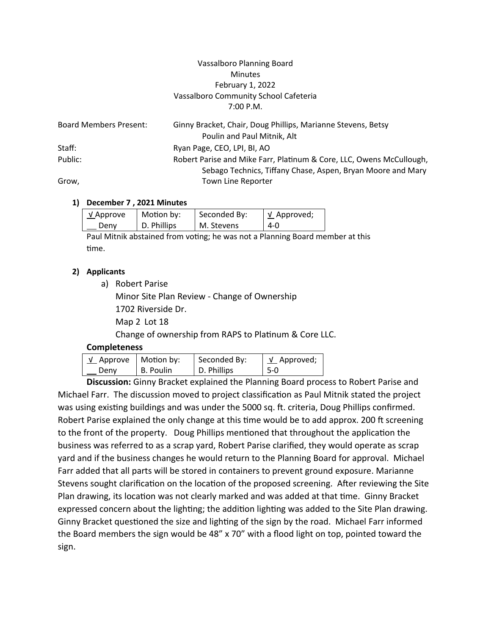## Vassalboro Planning Board **Minutes** February 1, 2022 Vassalboro Community School Cafeteria 7:00 P.M.

| <b>Board Members Present:</b> | Ginny Bracket, Chair, Doug Phillips, Marianne Stevens, Betsy<br>Poulin and Paul Mitnik, Alt |
|-------------------------------|---------------------------------------------------------------------------------------------|
| Staff:                        | Ryan Page, CEO, LPI, BI, AO                                                                 |
| Public:                       | Robert Parise and Mike Farr, Platinum & Core, LLC, Owens McCullough,                        |
| Grow,                         | Sebago Technics, Tiffany Chase, Aspen, Bryan Moore and Mary<br>Town Line Reporter           |

#### **1) December 7 , 2021 Minutes**

| <u>√</u> Approve | Motion by:  | Seconded By: | $\vee$ Approved; |
|------------------|-------------|--------------|------------------|
| Deny             | D. Phillips | M. Stevens   | 4-0              |

Paul Mitnik abstained from voting; he was not a Planning Board member at this time.

### **2) Applicants**

a) Robert Parise

Minor Site Plan Review - Change of Ownership 1702 Riverside Dr. Map 2 Lot 18

Change of ownership from RAPS to Platinum & Core LLC.

### **Completeness**

| <sup>ι</sup> <u>ν</u> Approve   Motion by: |           | Seconded By: | $\sqrt{V}$ Approved; |
|--------------------------------------------|-----------|--------------|----------------------|
| Denv                                       | B. Poulin | D. Phillips  | -5-0                 |

**Discussion:** Ginny Bracket explained the Planning Board process to Robert Parise and Michael Farr. The discussion moved to project classification as Paul Mitnik stated the project was using existing buildings and was under the 5000 sq. ft. criteria, Doug Phillips confirmed. Robert Parise explained the only change at this time would be to add approx. 200 ft screening to the front of the property. Doug Phillips mentioned that throughout the application the business was referred to as a scrap yard, Robert Parise clarified, they would operate as scrap yard and if the business changes he would return to the Planning Board for approval. Michael Farr added that all parts will be stored in containers to prevent ground exposure. Marianne Stevens sought clarification on the location of the proposed screening. After reviewing the Site Plan drawing, its location was not clearly marked and was added at that time. Ginny Bracket expressed concern about the lighting; the addition lighting was added to the Site Plan drawing. Ginny Bracket questioned the size and lighting of the sign by the road. Michael Farr informed the Board members the sign would be 48" x 70" with a flood light on top, pointed toward the sign.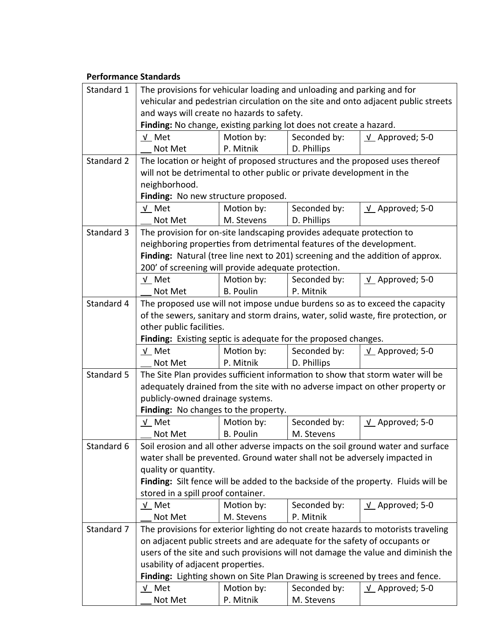# **Performance Standards**

| Standard 1 | The provisions for vehicular loading and unloading and parking and for            |                  |              |                                                                                   |  |
|------------|-----------------------------------------------------------------------------------|------------------|--------------|-----------------------------------------------------------------------------------|--|
|            | vehicular and pedestrian circulation on the site and onto adjacent public streets |                  |              |                                                                                   |  |
|            | and ways will create no hazards to safety.                                        |                  |              |                                                                                   |  |
|            | Finding: No change, existing parking lot does not create a hazard.                |                  |              |                                                                                   |  |
|            | $V$ Met                                                                           | Motion by:       | Seconded by: | $V$ Approved; 5-0                                                                 |  |
|            | Not Met                                                                           | P. Mitnik        | D. Phillips  |                                                                                   |  |
| Standard 2 |                                                                                   |                  |              | The location or height of proposed structures and the proposed uses thereof       |  |
|            | will not be detrimental to other public or private development in the             |                  |              |                                                                                   |  |
|            | neighborhood.                                                                     |                  |              |                                                                                   |  |
|            | Finding: No new structure proposed.                                               |                  |              |                                                                                   |  |
|            | $V$ Met                                                                           | Motion by:       | Seconded by: | $V$ Approved; 5-0                                                                 |  |
|            | Not Met                                                                           | M. Stevens       | D. Phillips  |                                                                                   |  |
| Standard 3 | The provision for on-site landscaping provides adequate protection to             |                  |              |                                                                                   |  |
|            | neighboring properties from detrimental features of the development.              |                  |              |                                                                                   |  |
|            |                                                                                   |                  |              | Finding: Natural (tree line next to 201) screening and the addition of approx.    |  |
|            | 200' of screening will provide adequate protection.                               |                  |              |                                                                                   |  |
|            | V Met                                                                             | Motion by:       | Seconded by: | $V$ Approved; 5-0                                                                 |  |
|            | Not Met                                                                           | <b>B. Poulin</b> | P. Mitnik    |                                                                                   |  |
| Standard 4 | The proposed use will not impose undue burdens so as to exceed the capacity       |                  |              |                                                                                   |  |
|            | of the sewers, sanitary and storm drains, water, solid waste, fire protection, or |                  |              |                                                                                   |  |
|            | other public facilities.                                                          |                  |              |                                                                                   |  |
|            | Finding: Existing septic is adequate for the proposed changes.                    |                  |              |                                                                                   |  |
|            | √ Met                                                                             | Motion by:       | Seconded by: | $\underline{V}$ Approved; 5-0                                                     |  |
|            | Not Met                                                                           | P. Mitnik        | D. Phillips  |                                                                                   |  |
| Standard 5 | The Site Plan provides sufficient information to show that storm water will be    |                  |              |                                                                                   |  |
|            | adequately drained from the site with no adverse impact on other property or      |                  |              |                                                                                   |  |
|            | publicly-owned drainage systems.                                                  |                  |              |                                                                                   |  |
|            | Finding: No changes to the property.                                              |                  |              |                                                                                   |  |
|            | V Met                                                                             | Motion by:       | Seconded by: | $\underline{V}$ Approved; 5-0                                                     |  |
|            | Not Met                                                                           | <b>B. Poulin</b> | M. Stevens   |                                                                                   |  |
| Standard 6 | Soil erosion and all other adverse impacts on the soil ground water and surface   |                  |              |                                                                                   |  |
|            | water shall be prevented. Ground water shall not be adversely impacted in         |                  |              |                                                                                   |  |
|            | quality or quantity.                                                              |                  |              |                                                                                   |  |
|            |                                                                                   |                  |              | Finding: Silt fence will be added to the backside of the property. Fluids will be |  |
|            | stored in a spill proof container.                                                |                  |              |                                                                                   |  |
|            | V Met                                                                             | Motion by:       | Seconded by: | $V$ Approved; 5-0                                                                 |  |
|            | Not Met                                                                           | M. Stevens       | P. Mitnik    |                                                                                   |  |
| Standard 7 |                                                                                   |                  |              | The provisions for exterior lighting do not create hazards to motorists traveling |  |
|            | on adjacent public streets and are adequate for the safety of occupants or        |                  |              |                                                                                   |  |
|            |                                                                                   |                  |              | users of the site and such provisions will not damage the value and diminish the  |  |
|            | usability of adjacent properties.                                                 |                  |              |                                                                                   |  |
|            |                                                                                   |                  |              | Finding: Lighting shown on Site Plan Drawing is screened by trees and fence.      |  |
|            | $V$ Met                                                                           | Motion by:       | Seconded by: | $V$ Approved; 5-0                                                                 |  |
|            | Not Met                                                                           | P. Mitnik        | M. Stevens   |                                                                                   |  |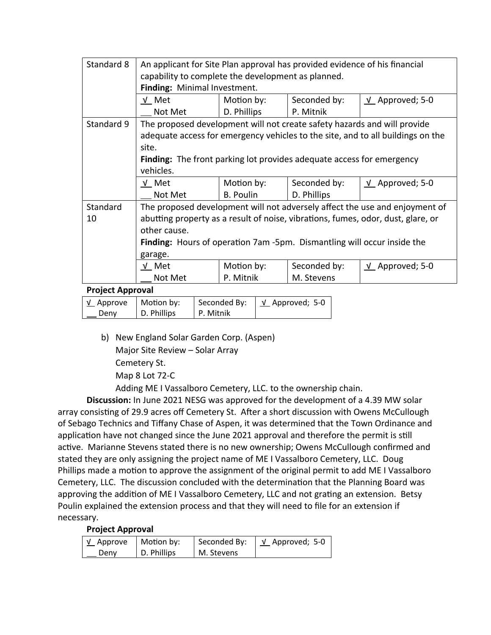| Standard 8              | An applicant for Site Plan approval has provided evidence of his financial<br>capability to complete the development as planned. |                                           |  |              |                                                                                 |
|-------------------------|----------------------------------------------------------------------------------------------------------------------------------|-------------------------------------------|--|--------------|---------------------------------------------------------------------------------|
|                         |                                                                                                                                  |                                           |  |              |                                                                                 |
|                         | Finding: Minimal Investment.                                                                                                     |                                           |  |              |                                                                                 |
|                         | <u>√</u> Met                                                                                                                     | Motion by:                                |  | Seconded by: | $V$ Approved; 5-0                                                               |
|                         | Not Met                                                                                                                          | D. Phillips                               |  | P. Mitnik    |                                                                                 |
| Standard 9              | The proposed development will not create safety hazards and will provide                                                         |                                           |  |              |                                                                                 |
|                         |                                                                                                                                  |                                           |  |              | adequate access for emergency vehicles to the site, and to all buildings on the |
|                         | site.                                                                                                                            |                                           |  |              |                                                                                 |
|                         |                                                                                                                                  |                                           |  |              | <b>Finding:</b> The front parking lot provides adequate access for emergency    |
|                         | vehicles.                                                                                                                        |                                           |  |              |                                                                                 |
|                         | $\underline{\mathsf{v}}$ Met                                                                                                     | Motion by:                                |  | Seconded by: | $\underline{V}$ Approved; 5-0                                                   |
|                         | Not Met                                                                                                                          | B. Poulin                                 |  | D. Phillips  |                                                                                 |
| Standard                | The proposed development will not adversely affect the use and enjoyment of                                                      |                                           |  |              |                                                                                 |
| 10                      | abutting property as a result of noise, vibrations, fumes, odor, dust, glare, or                                                 |                                           |  |              |                                                                                 |
|                         | other cause.                                                                                                                     |                                           |  |              |                                                                                 |
|                         | Finding: Hours of operation 7am -5pm. Dismantling will occur inside the                                                          |                                           |  |              |                                                                                 |
|                         | garage.                                                                                                                          |                                           |  |              |                                                                                 |
|                         | <u>√</u> Met                                                                                                                     | Motion by:                                |  | Seconded by: | $\underline{V}$ Approved; 5-0                                                   |
|                         | Not Met                                                                                                                          | P. Mitnik                                 |  | M. Stevens   |                                                                                 |
| <b>Project Approval</b> |                                                                                                                                  |                                           |  |              |                                                                                 |
| y Annroug               | Motion but                                                                                                                       | Cocondod $P_{11}$ , $I$ , Annrouad, $E$ O |  |              |                                                                                 |

| $\underline{V}$ Approve | Motion by:  | Seconded By: | $\underline{V}$ Approved; 5-0 |
|-------------------------|-------------|--------------|-------------------------------|
| Deny                    | D. Phillips | P. Mitnik    |                               |
|                         |             |              |                               |

b) New England Solar Garden Corp. (Aspen) Major Site Review – Solar Array Cemetery St. Map 8 Lot 72-C

Adding ME I Vassalboro Cemetery, LLC. to the ownership chain.

**Discussion:** In June 2021 NESG was approved for the development of a 4.39 MW solar array consisting of 29.9 acres off Cemetery St. After a short discussion with Owens McCullough of Sebago Technics and Tiffany Chase of Aspen, it was determined that the Town Ordinance and application have not changed since the June 2021 approval and therefore the permit is still active. Marianne Stevens stated there is no new ownership; Owens McCullough confirmed and stated they are only assigning the project name of ME I Vassalboro Cemetery, LLC. Doug Phillips made a motion to approve the assignment of the original permit to add ME I Vassalboro Cemetery, LLC. The discussion concluded with the determination that the Planning Board was approving the addition of ME I Vassalboro Cemetery, LLC and not grating an extension. Betsy Poulin explained the extension process and that they will need to file for an extension if necessary.

### **Project Approval**

| ∣ <u>√</u> Approve | Motion by:  | Seconded By: | $\vert$ <u>V</u> Approved; 5-0 |
|--------------------|-------------|--------------|--------------------------------|
| Denv               | D. Phillips | M. Stevens   |                                |